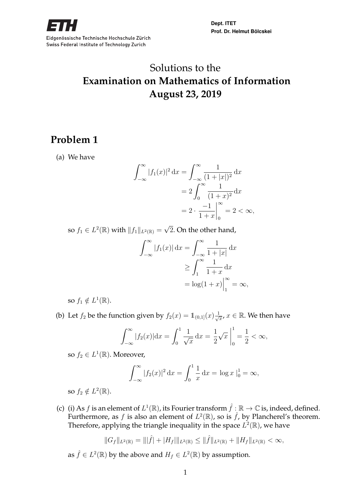

**Dept. ITET Prof. Dr. Helmut Bölcskei**

# Solutions to the **Examination on Mathematics of Information August 23, 2019**

## **Problem 1**

(a) We have

$$
\int_{-\infty}^{\infty} |f_1(x)|^2 dx = \int_{-\infty}^{\infty} \frac{1}{(1+|x|)^2} dx
$$
  
=  $2 \int_{0}^{\infty} \frac{1}{(1+x)^2} dx$   
=  $2 \cdot \frac{-1}{1+x} \Big|_{0}^{\infty} = 2 < \infty$ ,

so  $f_1 \in L^2(\mathbb{R})$  with  $||f_1||_{L^2(\mathbb{R})} = \sqrt{\frac{2}{\pi}}$ 2. On the other hand,

$$
\int_{-\infty}^{\infty} |f_1(x)| dx = \int_{-\infty}^{\infty} \frac{1}{1+|x|} dx
$$

$$
\geq \int_{1}^{\infty} \frac{1}{1+x} dx
$$

$$
= \log(1+x)|_{1}^{\infty} = \infty,
$$

so  $f_1 \notin L^1(\mathbb{R})$ .

(b) Let  $f_2$  be the function given by  $f_2(x) = \mathbb{1}_{(0,1]}(x) \frac{1}{\sqrt{x}}$  $\overline{\overline{x}}$ ,  $x \in \mathbb{R}$ . We then have

$$
\int_{-\infty}^{\infty} |f_2(x)| dx = \int_0^1 \frac{1}{\sqrt{x}} dx = \frac{1}{2} \sqrt{x} \Big|_0^1 = \frac{1}{2} < \infty,
$$

so  $f_2 \in L^1(\mathbb{R})$ . Moreover,

$$
\int_{-\infty}^{\infty} |f_2(x)|^2 dx = \int_0^1 \frac{1}{x} dx = \log x \Big|_0^1 = \infty,
$$

so  $f_2 \notin L^2(\mathbb{R})$ .

(c) (i) As  $f$  is an element of  $L^1(\mathbb{R})$ , its Fourier transform  $\hat{f}: \mathbb{R} \to \mathbb{C}$  is, indeed, defined. Furthermore, as f is also an element of  $L^2(\mathbb{R})$ , so is  $\hat{f}$ , by Plancherel's theorem. Therefore, applying the triangle inequality in the space  $L^2(\mathbb{R})$ , we have

$$
||G_f||_{L^2(\mathbb{R})} = |||\hat{f}| + |H_f|||_{L^2(\mathbb{R})} \le ||\hat{f}||_{L^2(\mathbb{R})} + ||H_f||_{L^2(\mathbb{R})} < \infty,
$$

as  $\hat{f} \in L^2(\mathbb{R})$  by the above and  $H_f \in L^2(\mathbb{R})$  by assumption.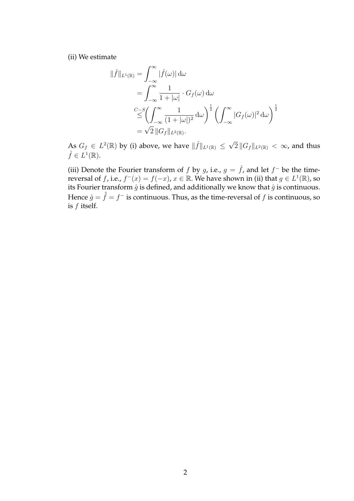(ii) We estimate

$$
\|\hat{f}\|_{L^{1}(\mathbb{R})} = \int_{-\infty}^{\infty} |\hat{f}(\omega)| d\omega
$$
  
\n
$$
= \int_{-\infty}^{\infty} \frac{1}{1 + |\omega|} \cdot G_f(\omega) d\omega
$$
  
\n
$$
\frac{C - S}{\leq} \left( \int_{-\infty}^{\infty} \frac{1}{(1 + |\omega|)^2} d\omega \right)^{\frac{1}{2}} \left( \int_{-\infty}^{\infty} |G_f(\omega)|^2 d\omega \right)^{\frac{1}{2}}
$$
  
\n
$$
= \sqrt{2} ||G_f||_{L^{2}(\mathbb{R})}.
$$

As  $G_f \in L^2(\mathbb{R})$  by (i) above, we have  $\|\hat{f}\|_{L^1(\mathbb{R})} \leq \sqrt{2}$  $2\,\|G_f\|_{L^2(\mathbb{R})}\,<\,\infty$ , and thus  $\hat{f} \in L^1(\mathbb{R}).$ 

(iii) Denote the Fourier transform of f by g, i.e.,  $g = \hat{f}$ , and let  $f^-$  be the timereversal of f, i.e.,  $f^-(x) = f(-x)$ ,  $x \in \mathbb{R}$ . We have shown in (ii) that  $g \in L^1(\mathbb{R})$ , so its Fourier transform  $\hat{g}$  is defined, and additionally we know that  $\hat{g}$  is continuous. Hence  $\hat{g}=\hat{f}=f^-$  is continuous. Thus, as the time-reversal of  $f$  is continuous, so is f itself.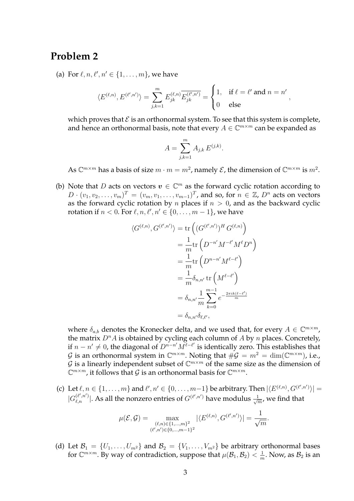#### **Problem 2**

(a) For  $\ell, n, \ell', n' \in \{1, ..., m\}$ , we have

$$
\langle E^{(\ell,n)}, E^{(\ell',n')} \rangle = \sum_{j,k=1}^m E_{jk}^{(\ell,n)} \overline{E_{jk}^{(\ell',n')}} = \begin{cases} 1, & \text{if } \ell = \ell' \text{ and } n = n', \\ 0 & \text{else} \end{cases}
$$

which proves that  $\mathcal E$  is an orthonormal system. To see that this system is complete, and hence an orthonormal basis, note that every  $A \in \mathbb{C}^{m \times m}$  can be expanded as

$$
A = \sum_{j,k=1}^{m} A_{j,k} E^{(j,k)}.
$$

As  $\mathbb{C}^{m\times m}$  has a basis of size  $m\cdot m=m^2$ , namely  $\mathcal E$ , the dimension of  $\mathbb{C}^{m\times m}$  is  $m^2$ .

(b) Note that D acts on vectors  $v \in \mathbb{C}^m$  as the forward cyclic rotation according to  $D \cdot (v_1, v_2, \ldots, v_m)^T = (v_m, v_1, \ldots, v_{m-1})^T$ , and so, for  $n \in \mathbb{Z}$ ,  $D^n$  acts on vectors as the forward cyclic rotation by *n* places if  $n > 0$ , and as the backward cyclic rotation if  $n < 0$ . For  $\ell, n, \ell', n' \in \{0, \ldots, m-1\}$ , we have

$$
\langle G^{(\ell,n)}, G^{(\ell',n')} \rangle = \text{tr}\left( (G^{(\ell',n')})^H G^{(\ell,n)} \right)
$$
  

$$
= \frac{1}{m} \text{tr}\left( D^{-n'} M^{-\ell'} M^{\ell} D^n \right)
$$
  

$$
= \frac{1}{m} \text{tr}\left( D^{n-n'} M^{\ell-\ell'} \right)
$$
  

$$
= \frac{1}{m} \delta_{n,n'} \text{tr}\left( M^{\ell-\ell'} \right)
$$
  

$$
= \delta_{n,n'} \frac{1}{m} \sum_{k=0}^{m-1} e^{-\frac{2\pi i k(\ell-\ell')}{m}}
$$
  

$$
= \delta_{n,n'} \delta_{\ell,\ell'},
$$

where  $\delta_{a,b}$  denotes the Kronecker delta, and we used that, for every  $A \in \mathbb{C}^{m \times m}$ , the matrix  $D^n A$  is obtained by cycling each column of  $A$  by  $n$  places. Concretely, if  $n - n' \neq 0$ , the diagonal of  $\overline{D^{n-n'}} M^{\ell-\ell'}$  is identically zero. This establishes that G is an orthonormal system in  $\mathbb{C}^{m \times m}$ . Noting that  $\#\mathcal{G} = m^2 = \dim(\mathbb{C}^{m \times m})$ , i.e., G is a linearly independent subset of  $\mathbb{C}^{m \times m}$  of the same size as the dimension of  $\mathbb{C}^{m \times m}$ , it follows that G is an orthonormal basis for  $\mathbb{C}^{m \times m}$ .

(c) Let  $\ell, n \in \{1, \ldots, m\}$  and  $\ell', n' \in \{0, \ldots, m-1\}$  be arbitrary. Then  $|\langle E^{(\ell,n)}, G^{(\ell',n')}\rangle|$  =  $|G_{\ell,n}^{(\ell',n')}|$ . As all the nonzero entries of  $G^{(\ell',n')}$  have modulus  $\frac{1}{\sqrt{n}}$  $\frac{1}{m}$ , we find that

$$
\mu(\mathcal{E}, \mathcal{G}) = \max_{\substack{(\ell,n) \in \{1,\dots,m\}^2 \\ (\ell',n') \in \{0,\dots,m-1\}^2}} |\langle E^{(\ell,n)}, G^{(\ell',n')}\rangle| = \frac{1}{\sqrt{m}}.
$$

(d) Let  $\mathcal{B}_1 = \{U_1, \ldots, U_{m^2}\}\$  and  $\mathcal{B}_2 = \{V_1, \ldots, V_{m^2}\}\$  be arbitrary orthonormal bases for  $\mathbb{C}^{m \times m}$ . By way of contradiction, suppose that  $\mu(\mathcal{B}_1, \mathcal{B}_2) < \frac{1}{n}$  $\frac{1}{m}$ . Now, as  $\mathcal{B}_2$  is an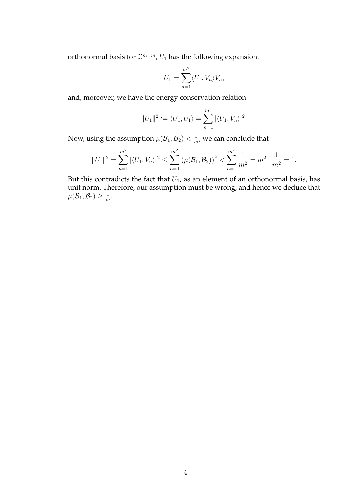orthonormal basis for  $\mathbb{C}^{m \times m}$ ,  $U_1$  has the following expansion:

$$
U_1 = \sum_{n=1}^{m^2} \langle U_1, V_n \rangle V_n,
$$

and, moreover, we have the energy conservation relation

$$
||U_1||^2 := \langle U_1, U_1 \rangle = \sum_{n=1}^{m^2} |\langle U_1, V_n \rangle|^2.
$$

Now, using the assumption  $\mu(\mathcal{B}_1,\mathcal{B}_2) < \frac{1}{m}$  $\frac{1}{m}$ , we can conclude that

$$
||U_1||^2 = \sum_{n=1}^{m^2} |\langle U_1, V_n \rangle|^2 \le \sum_{n=1}^{m^2} (\mu(\mathcal{B}_1, \mathcal{B}_2))^2 < \sum_{n=1}^{m^2} \frac{1}{m^2} = m^2 \cdot \frac{1}{m^2} = 1.
$$

But this contradicts the fact that  $U_1$ , as an element of an orthonormal basis, has unit norm. Therefore, our assumption must be wrong, and hence we deduce that  $\mu(\mathcal{B}_1,\mathcal{B}_2)\geq \frac{1}{m}$  $\frac{1}{m}$ .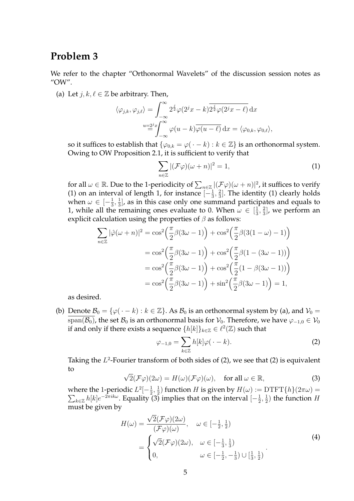#### **Problem 3**

We refer to the chapter "Orthonormal Wavelets" of the discussion session notes as "OW".

(a) Let  $j, k, \ell \in \mathbb{Z}$  be arbitrary. Then,

$$
\langle \varphi_{j,k}, \varphi_{j,\ell} \rangle = \int_{-\infty}^{\infty} 2^{\frac{j}{2}} \varphi(2^j x - k) \overline{2^{\frac{j}{2}} \varphi(2^j x - \ell)} dx
$$
  

$$
u = 2^j x \int_{-\infty}^{\infty} \varphi(u - k) \overline{\varphi(u - \ell)} dx = \langle \varphi_{0,k}, \varphi_{0,\ell} \rangle,
$$

so it suffices to establish that  $\{\varphi_{0,k} = \varphi(\cdot - k) : k \in \mathbb{Z}\}$  is an orthonormal system. Owing to OW Proposition 2.1, it is sufficient to verify that

$$
\sum_{n\in\mathbb{Z}} |(\mathcal{F}\varphi)(\omega+n)|^2 = 1,
$$
 (1)

for all  $\omega \in \mathbb{R}$ . Due to the 1-periodicity of  $\sum_{n \in \mathbb{Z}} |(\mathcal{F}\varphi)(\omega+n)|^2$ , it suffices to verify (1) on an interval of length 1, for instance  $\left[-\frac{1}{3}\right]$  $\frac{1}{3}, \frac{2}{3}$  $\frac{2}{3}$ ]. The identity (1) clearly holds when  $\omega \in [-\frac{1}{3}]$  $\frac{1}{3}, \frac{1}{3}$  $\frac{1}{3}$ , as in this case only one summand participates and equals to 1, while all the remaining ones evaluate to 0. When  $\omega \in \left[\frac{1}{3}\right]$  $\frac{1}{3}, \frac{2}{3}$  $\frac{2}{3}$ , we perform an explicit calculation using the properties of  $\beta$  as follows:

$$
\sum_{n\in\mathbb{Z}} |\hat{\varphi}(\omega+n)|^2 = \cos^2\left(\frac{\pi}{2}\beta(3\omega-1)\right) + \cos^2\left(\frac{\pi}{2}\beta(3(1-\omega)-1)\right)
$$

$$
= \cos^2\left(\frac{\pi}{2}\beta(3\omega-1)\right) + \cos^2\left(\frac{\pi}{2}\beta(1-(3\omega-1))\right)
$$

$$
= \cos^2\left(\frac{\pi}{2}\beta(3\omega-1)\right) + \cos^2\left(\frac{\pi}{2}(1-\beta(3\omega-1))\right)
$$

$$
= \cos^2\left(\frac{\pi}{2}\beta(3\omega-1)\right) + \sin^2\left(\frac{\pi}{2}\beta(3\omega-1)\right) = 1,
$$

as desired.

(b) Denote  $\mathcal{B}_0 = \{\varphi(\cdot - k) : k \in \mathbb{Z}\}\$ . As  $\mathcal{B}_0$  is an orthonormal system by (a), and  $\mathcal{V}_0 =$  $\overline{\text{span}(\mathcal{B}_0)}$ , the set  $\mathcal{B}_0$  is an orthonormal basis for  $\mathcal{V}_0$ . Therefore, we have  $\varphi_{-1,0} \in \mathcal{V}_0$ if and only if there exists a sequence  $\{h[k]\}_{k\in\mathbb{Z}} \in \ell^2(\mathbb{Z})$  such that

$$
\varphi_{-1,0} = \sum_{k \in \mathbb{Z}} h[k] \varphi(\cdot - k). \tag{2}
$$

Taking the  $L^2$ -Fourier transform of both sides of (2), we see that (2) is equivalent to √

$$
\sqrt{2}(\mathcal{F}\varphi)(2\omega) = H(\omega)(\mathcal{F}\varphi)(\omega), \quad \text{for all } \omega \in \mathbb{R}, \tag{3}
$$

where the 1-periodic  $L^2[-\frac{1}{2}]$  $\frac{1}{2}, \frac{1}{2}$  $\frac{1}{2}$ ) function H is given by  $H(\omega) \mathrel{\mathop:}= \text{DTFT}\{h\}(2\pi\omega) =$  $\sum_{k\in\mathbb{Z}}h[k]e^{-2\pi ik\omega}$ . Equality (3) implies that on the interval  $[-\frac{1}{2}]$  $\frac{1}{2}, \frac{1}{2}$  $(\frac{1}{2})$  the function H must be given by √

$$
H(\omega) = \frac{\sqrt{2(\mathcal{F}\varphi)(2\omega)}}{(\mathcal{F}\varphi)(\omega)}, \quad \omega \in \left[-\frac{1}{2}, \frac{1}{2}\right)
$$
  
= 
$$
\begin{cases} \sqrt{2}(\mathcal{F}\varphi)(2\omega), & \omega \in \left[-\frac{1}{3}, \frac{1}{3}\right) \\ 0, & \omega \in \left[-\frac{1}{2}, -\frac{1}{3}\right) \cup \left[\frac{1}{3}, \frac{1}{2}\right) \end{cases}
$$
 (4)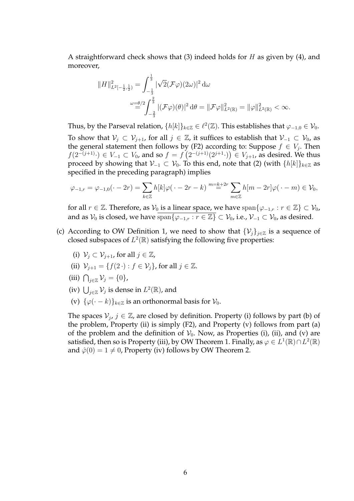A straightforward check shows that (3) indeed holds for  $H$  as given by (4), and moreover,

$$
||H||_{L^{2}[-\frac{1}{2},\frac{1}{2})}^{2} = \int_{-\frac{1}{3}}^{\frac{1}{3}} |\sqrt{2}(\mathcal{F}\varphi)(2\omega)|^{2} d\omega
$$
  

$$
\stackrel{\omega=\theta/2}{=} \int_{-\frac{2}{3}}^{\frac{2}{3}} |(\mathcal{F}\varphi)(\theta)|^{2} d\theta = ||\mathcal{F}\varphi||_{L^{2}(\mathbb{R})}^{2} = ||\varphi||_{L^{2}(\mathbb{R})}^{2} < \infty.
$$

Thus, by the Parseval relation,  $\{h[k]\}_{k\in\mathbb{Z}} \in \ell^2(\mathbb{Z})$ . This establishes that  $\varphi_{-1,0} \in \mathcal{V}_0$ . To show that  $V_j \subset V_{j+1}$ , for all  $j \in \mathbb{Z}$ , it suffices to establish that  $V_{-1} \subset V_0$ , as the general statement then follows by (F2) according to: Suppose  $f \in V_j$ . Then  $f(2^{-(j+1)}.)$  ∈  $V_{-1}$  ⊂  $V_0$ , and so  $f = f(2^{-(j+1)}(2^{j+1}.)$   $\in V_{j+1}$ , as desired. We thus proceed by showing that  $V_{-1} \subset V_0$ . To this end, note that (2) (with  $\{h[k]\}_{k\in\mathbb{Z}}$  as specified in the preceding paragraph) implies

$$
\varphi_{-1,r} = \varphi_{-1,0}(\cdot - 2r) = \sum_{k \in \mathbb{Z}} h[k] \varphi(\cdot - 2r - k) \stackrel{m = k + 2r}{=} \sum_{m \in \mathbb{Z}} h[m - 2r] \varphi(\cdot - m) \in \mathcal{V}_0,
$$

for all  $r \in \mathbb{Z}$ . Therefore, as  $\mathcal{V}_0$  is a linear space, we have  $\text{span}\{\varphi_{-1,r} : r \in \mathbb{Z}\} \subset \mathcal{V}_0$ , and as  $V_0$  is closed, we have  $\overline{\text{span}\{\varphi_{-1,r} : r \in \mathbb{Z}\}} \subset V_0$ , i.e.,  $\mathcal{V}_{-1} \subset \mathcal{V}_0$ , as desired.

- (c) According to OW Definition 1, we need to show that  $\{V_i\}_{i\in\mathbb{Z}}$  is a sequence of closed subspaces of  $L^2(\mathbb{R})$  satisfying the following five properties:
	- (i)  $\mathcal{V}_j \subset \mathcal{V}_{j+1}$ , for all  $j \in \mathbb{Z}$ ,
	- (ii)  $\mathcal{V}_{j+1} = \{f(2 \cdot) : f \in \mathcal{V}_j\}$ , for all  $j \in \mathbb{Z}$ .
	- (iii)  $\bigcap_{j\in\mathbb{Z}}\mathcal{V}_j=\{0\},\$
	- (iv)  $\bigcup_{j\in\mathbb{Z}}\mathcal{V}_j$  is dense in  $L^2(\mathbb{R})$ , and
	- (v)  $\{\varphi(\cdot k)\}_{k \in \mathbb{Z}}$  is an orthonormal basis for  $\mathcal{V}_0$ .

The spaces  $V_j$ ,  $j \in \mathbb{Z}$ , are closed by definition. Property (i) follows by part (b) of the problem, Property (ii) is simply (F2), and Property (v) follows from part (a) of the problem and the definition of  $V_0$ . Now, as Properties (i), (ii), and (v) are satisfied, then so is Property (iii), by OW Theorem 1. Finally, as  $\varphi \in L^1(\mathbb{R}) \cap L^2(\mathbb{R})$ and  $\hat{\varphi}(0) = 1 \neq 0$ , Property (iv) follows by OW Theorem 2.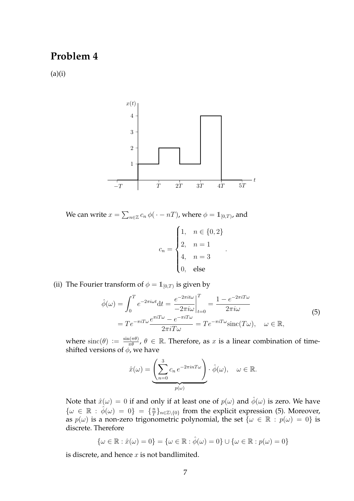### **Problem 4**

 $(a)(i)$ 



We can write  $x = \sum_{n \in \mathbb{Z}} c_n \, \phi(\,\cdot - nT)$ , where  $\phi = \mathbb{1}_{[0,T)}$ , and

$$
c_n = \begin{cases} 1, & n \in \{0, 2\} \\ 2, & n = 1 \\ 4, & n = 3 \\ 0, & \text{else} \end{cases}
$$

(ii) The Fourier transform of  $\phi = \mathbb{1}_{[0,T)}$  is given by

$$
\hat{\phi}(\omega) = \int_0^T e^{-2\pi i \omega t} dt = \frac{e^{-2\pi i t \omega}}{-2\pi i \omega} \Big|_{t=0}^T = \frac{1 - e^{-2\pi i T \omega}}{2\pi i \omega}
$$
\n
$$
= T e^{-\pi i T \omega} \frac{e^{\pi i T \omega} - e^{-\pi i T \omega}}{2\pi i T \omega} = T e^{-\pi i T \omega} \text{sinc}(T\omega), \quad \omega \in \mathbb{R},
$$
\n(5)

.

where  $\text{sinc}(\theta) := \frac{\sin(\pi \theta)}{\pi \theta}, \theta \in \mathbb{R}$ . Therefore, as x is a linear combination of timeshifted versions of  $\phi$ , we have

$$
\hat{x}(\omega) = \underbrace{\left(\sum_{n=0}^{3} c_n e^{-2\pi i n T \omega}\right)}_{p(\omega)} \cdot \hat{\phi}(\omega), \quad \omega \in \mathbb{R}.
$$

Note that  $\hat{x}(\omega) = 0$  if and only if at least one of  $p(\omega)$  and  $\hat{\phi}(\omega)$  is zero. We have  $\{\omega \in \mathbb{R} : \hat{\phi}(\omega) = 0\} = \{\frac{n}{7}\}$  $\frac{n}{T}\}_{n\in\mathbb{Z}\setminus\{0\}}$  from the explicit expression (5). Moreover, as  $p(\omega)$  is a non-zero trigonometric polynomial, the set  $\{\omega \in \mathbb{R} : p(\omega) = 0\}$  is discrete. Therefore

$$
\{\omega \in \mathbb{R} : \hat{x}(\omega) = 0\} = \{\omega \in \mathbb{R} : \hat{\phi}(\omega) = 0\} \cup \{\omega \in \mathbb{R} : p(\omega) = 0\}
$$

is discrete, and hence  $x$  is not bandlimited.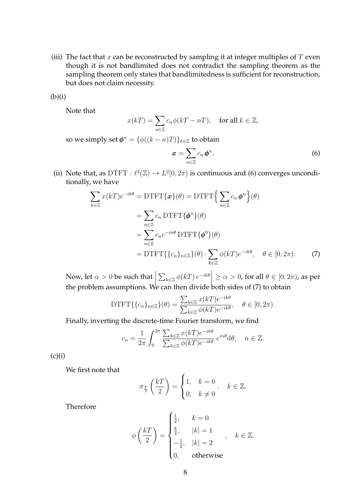(iii) The fact that  $x$  can be reconstructed by sampling it at integer multiples of  $T$  even though it is not bandlimited does not contradict the sampling theorem as the sampling theorem only states that bandlimitedness is sufficient for reconstruction, but does not claim necessity.

 $(b)(i)$ 

Note that

$$
x(kT) = \sum_{n \in \mathbb{Z}} c_n \phi(kT - nT), \quad \text{for all } k \in \mathbb{Z},
$$

so we simply set  $\phi^n = \{ \phi((k-n)T) \}_{k \in \mathbb{Z}}$  to obtain

$$
x=\sum_{n\in\mathbb{Z}}c_n\,\phi^n.\tag{6}
$$

(ii) Note that, as DTFT :  $\ell^2(\mathbb{Z}) \to L^2[0, 2\pi)$  is continuous and (6) converges unconditionally, we have

$$
\sum_{k \in \mathbb{Z}} x(kT)e^{-ik\theta} = \text{DTFT}\{\mathbf{x}\}(\theta) = \text{DTFT}\Big{\sum_{n \in \mathbb{Z}} c_n \phi^n\Big}(\theta)
$$

$$
= \sum_{n \in \mathbb{Z}} c_n \text{DTFT}\{\phi^n\}(\theta)
$$

$$
= \sum_{n \in \mathbb{Z}} c_n e^{-in\theta} \text{DTFT}\{\phi^0\}(\theta)
$$

$$
= \text{DTFT}\{\{c_n\}_{n \in \mathbb{Z}}\}(\theta) \cdot \sum_{k \in \mathbb{Z}} \phi(kT)e^{-ik\theta}, \quad \theta \in [0, 2\pi). \tag{7}
$$

Now, let  $\alpha > 0$  be such that  $\sum_{k\in\mathbb{Z}}\phi(kT)\,e^{-ik\theta}\Big|\geq\alpha>0$ , for all  $\theta\in[0,2\pi)$ , as per the problem assumptions. We can then divide both sides of  $(7)$  to obtain

DTFT
$$
\{\{c_n\}_{n\in\mathbb{Z}}\}(\theta) = \frac{\sum_{k\in\mathbb{Z}} x(kT)e^{-ik\theta}}{\sum_{k\in\mathbb{Z}} \phi(kT)e^{-ik\theta}}, \quad \theta \in [0, 2\pi).
$$

Finally, inverting the discrete-time Fourier transform, we find

$$
c_n = \frac{1}{2\pi} \int_0^{2\pi} \frac{\sum_{k \in \mathbb{Z}} x(kT) e^{-ik\theta}}{\sum_{k \in \mathbb{Z}} \phi(kT) e^{-ik\theta}} e^{in\theta} d\theta, \quad n \in \mathbb{Z}.
$$

 $(c)(i)$ 

We first note that

$$
\sigma_{\frac{T}{2}}\left(\frac{kT}{2}\right) = \begin{cases} 1, & k = 0 \\ 0, & k \neq 0 \end{cases}, \quad k \in \mathbb{Z}.
$$

Therefore

$$
\phi\left(\frac{kT}{2}\right) = \begin{cases} \frac{1}{2}, & k = 0\\ \frac{k}{4}, & |k| = 1\\ -\frac{1}{2}, & |k| = 2\\ 0, & \text{otherwise} \end{cases}, \quad k \in \mathbb{Z}.
$$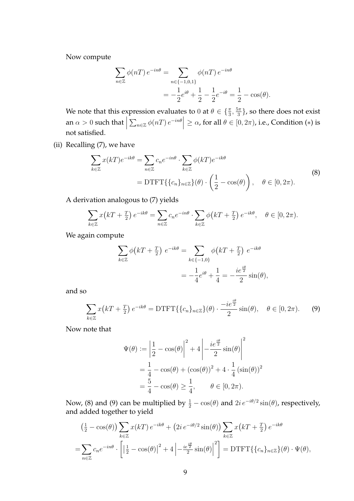Now compute

$$
\sum_{n \in \mathbb{Z}} \phi(nT) e^{-in\theta} = \sum_{n \in \{-1, 0, 1\}} \phi(nT) e^{-in\theta} \n= -\frac{1}{2} e^{i\theta} + \frac{1}{2} - \frac{1}{2} e^{-i\theta} = \frac{1}{2} - \cos(\theta).
$$

We note that this expression evaluates to 0 at  $\theta \in \{\frac{\pi}{3}, \frac{5\pi}{3}$  $\frac{5\pi}{3}$ , so there does not exist an  $\alpha > 0$  such that  $\Big|$  $\sum_{n\in\mathbb{Z}}\phi(nT)\,e^{-in\theta}\Big|\geq\alpha$ , for all  $\theta\in[0,2\pi)$ , i.e., Condition (\*) is not satisfied.

(ii) Recalling (7), we have

$$
\sum_{k \in \mathbb{Z}} x(kT) e^{-ik\theta} = \sum_{n \in \mathbb{Z}} c_n e^{-in\theta} \cdot \sum_{k \in \mathbb{Z}} \phi(kT) e^{-ik\theta}
$$
\n
$$
= \text{DTFT}\{\{c_n\}_{n \in \mathbb{Z}}\}(\theta) \cdot \left(\frac{1}{2} - \cos(\theta)\right), \quad \theta \in [0, 2\pi).
$$
\n(8)

A derivation analogous to (7) yields

$$
\sum_{k \in \mathbb{Z}} x(kT + \frac{T}{2}) e^{-ik\theta} = \sum_{n \in \mathbb{Z}} c_n e^{-in\theta} \cdot \sum_{k \in \mathbb{Z}} \phi(kT + \frac{T}{2}) e^{-ik\theta}, \quad \theta \in [0, 2\pi).
$$

We again compute

$$
\sum_{k \in \mathbb{Z}} \phi(kT + \frac{T}{2}) e^{-ik\theta} = \sum_{k \in \{-1,0\}} \phi(kT + \frac{T}{2}) e^{-ik\theta}
$$

$$
= -\frac{1}{4} e^{i\theta} + \frac{1}{4} = -\frac{i e^{\frac{i\theta}{2}}}{2} \sin(\theta),
$$

and so

$$
\sum_{k\in\mathbb{Z}} x\big(kT + \frac{T}{2}\big)e^{-ik\theta} = \text{DTFT}\{\{c_n\}_{n\in\mathbb{Z}}\}(\theta) \cdot \frac{-ie^{\frac{i\theta}{2}}}{2}\sin(\theta), \quad \theta \in [0, 2\pi). \tag{9}
$$

Now note that

$$
\Psi(\theta) := \left| \frac{1}{2} - \cos(\theta) \right|^2 + 4 \left| -\frac{ie^{\frac{i\theta}{2}}}{2} \sin(\theta) \right|^2
$$

$$
= \frac{1}{4} - \cos(\theta) + (\cos(\theta))^2 + 4 \cdot \frac{1}{4} (\sin(\theta))^2
$$

$$
= \frac{5}{4} - \cos(\theta) \ge \frac{1}{4}, \qquad \theta \in [0, 2\pi).
$$

Now, (8) and (9) can be multiplied by  $\frac{1}{2} - \cos(\theta)$  and  $2i e^{-i\theta/2} \sin(\theta)$ , respectively, and added together to yield

$$
\left(\frac{1}{2} - \cos(\theta)\right) \sum_{k \in \mathbb{Z}} x(kT) e^{-ik\theta} + \left(2i e^{-i\theta/2} \sin(\theta)\right) \sum_{k \in \mathbb{Z}} x(kT + \frac{T}{2}) e^{-ik\theta}
$$

$$
= \sum_{n \in \mathbb{Z}} c_n e^{-in\theta} \cdot \left[\left|\frac{1}{2} - \cos(\theta)\right|^2 + 4\left|-\frac{ie^{\frac{i\theta}{2}}}{2}\sin(\theta)\right|^2\right] = \text{DTFT}\left\{\left\{c_n\right\}_{n \in \mathbb{Z}}\right\}(\theta) \cdot \Psi(\theta),
$$